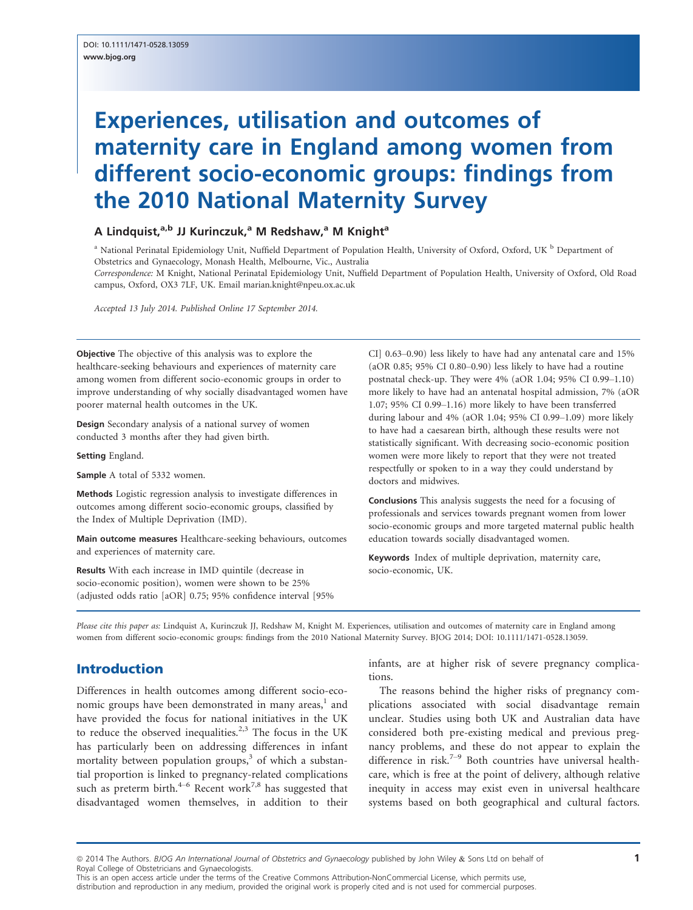# Experiences, utilisation and outcomes of maternity care in England among women from different socio-economic groups: findings from the 2010 National Maternity Survey

# A Lindquist,<sup>a,b</sup> JJ Kurinczuk,<sup>a</sup> M Redshaw,<sup>a</sup> M Knight<sup>a</sup>

<sup>a</sup> National Perinatal Epidemiology Unit, Nuffield Department of Population Health, University of Oxford, Oxford, UK <sup>b</sup> Department of Obstetrics and Gynaecology, Monash Health, Melbourne, Vic., Australia

Correspondence: M Knight, National Perinatal Epidemiology Unit, Nuffield Department of Population Health, University of Oxford, Old Road campus, Oxford, OX3 7LF, UK. Email marian.knight@npeu.ox.ac.uk

Accepted 13 July 2014. Published Online 17 September 2014.

Objective The objective of this analysis was to explore the healthcare-seeking behaviours and experiences of maternity care among women from different socio-economic groups in order to improve understanding of why socially disadvantaged women have poorer maternal health outcomes in the UK.

Design Secondary analysis of a national survey of women conducted 3 months after they had given birth.

Setting England.

Sample A total of 5332 women.

Methods Logistic regression analysis to investigate differences in outcomes among different socio-economic groups, classified by the Index of Multiple Deprivation (IMD).

Main outcome measures Healthcare-seeking behaviours, outcomes and experiences of maternity care.

Results With each increase in IMD quintile (decrease in socio-economic position), women were shown to be 25% (adjusted odds ratio [aOR] 0.75; 95% confidence interval [95% CI] 0.63–0.90) less likely to have had any antenatal care and 15% (aOR 0.85; 95% CI 0.80–0.90) less likely to have had a routine postnatal check-up. They were 4% (aOR 1.04; 95% CI 0.99–1.10) more likely to have had an antenatal hospital admission, 7% (aOR 1.07; 95% CI 0.99–1.16) more likely to have been transferred during labour and 4% (aOR 1.04; 95% CI 0.99–1.09) more likely to have had a caesarean birth, although these results were not statistically significant. With decreasing socio-economic position women were more likely to report that they were not treated respectfully or spoken to in a way they could understand by doctors and midwives.

Conclusions This analysis suggests the need for a focusing of professionals and services towards pregnant women from lower socio-economic groups and more targeted maternal public health education towards socially disadvantaged women.

Keywords Index of multiple deprivation, maternity care, socio-economic, UK.

Please cite this paper as: Lindquist A, Kurinczuk JJ, Redshaw M, Knight M. Experiences, utilisation and outcomes of maternity care in England among women from different socio-economic groups: findings from the 2010 National Maternity Survey. BJOG 2014; DOI: 10.1111/1471-0528.13059.

# Introduction

Differences in health outcomes among different socio-economic groups have been demonstrated in many areas,<sup>1</sup> and have provided the focus for national initiatives in the UK to reduce the observed inequalities. $2,3$  The focus in the UK has particularly been on addressing differences in infant mortality between population groups, $3$  of which a substantial proportion is linked to pregnancy-related complications such as preterm birth.<sup>4–6</sup> Recent work<sup>7,8</sup> has suggested that disadvantaged women themselves, in addition to their

infants, are at higher risk of severe pregnancy complications.

The reasons behind the higher risks of pregnancy complications associated with social disadvantage remain unclear. Studies using both UK and Australian data have considered both pre-existing medical and previous pregnancy problems, and these do not appear to explain the difference in risk.<sup>7-9</sup> Both countries have universal healthcare, which is free at the point of delivery, although relative inequity in access may exist even in universal healthcare systems based on both geographical and cultural factors.

This is an open access article under the terms of the [Creative Commons Attribution-NonCommercial](http://www.icmje.org/coi_disclosure.pdf) License, which permits use, distribution and reproduction in any medium, provided the original work is properly cited and is not used for commercial purposes.

<sup>&</sup>lt;sup>©</sup> 2014 The Authors. BJOG An International Journal of Obstetrics and Gynaecology published by John Wiley & Sons Ltd on behalf of 1 Royal College of Obstetricians and Gynaecologists.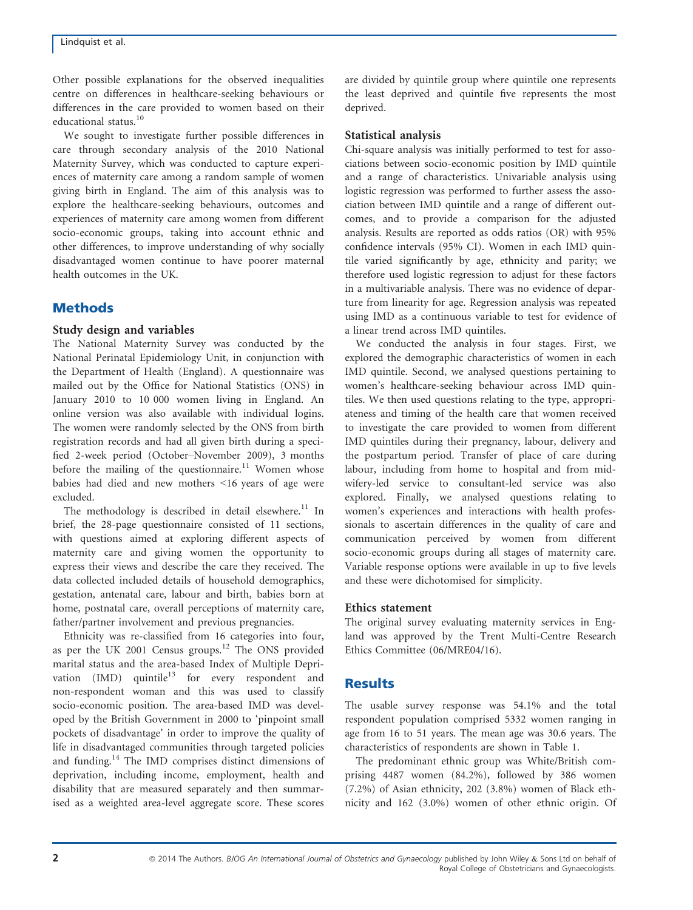Other possible explanations for the observed inequalities centre on differences in healthcare-seeking behaviours or differences in the care provided to women based on their educational status.<sup>10</sup>

We sought to investigate further possible differences in care through secondary analysis of the 2010 National Maternity Survey, which was conducted to capture experiences of maternity care among a random sample of women giving birth in England. The aim of this analysis was to explore the healthcare-seeking behaviours, outcomes and experiences of maternity care among women from different socio-economic groups, taking into account ethnic and other differences, to improve understanding of why socially disadvantaged women continue to have poorer maternal health outcomes in the UK.

## Methods

## Study design and variables

The National Maternity Survey was conducted by the National Perinatal Epidemiology Unit, in conjunction with the Department of Health (England). A questionnaire was mailed out by the Office for National Statistics (ONS) in January 2010 to 10 000 women living in England. An online version was also available with individual logins. The women were randomly selected by the ONS from birth registration records and had all given birth during a specified 2-week period (October–November 2009), 3 months before the mailing of the questionnaire.<sup>11</sup> Women whose babies had died and new mothers <16 years of age were excluded.

The methodology is described in detail elsewhere. $11$  In brief, the 28-page questionnaire consisted of 11 sections, with questions aimed at exploring different aspects of maternity care and giving women the opportunity to express their views and describe the care they received. The data collected included details of household demographics, gestation, antenatal care, labour and birth, babies born at home, postnatal care, overall perceptions of maternity care, father/partner involvement and previous pregnancies.

Ethnicity was re-classified from 16 categories into four, as per the UK 2001 Census groups.<sup>12</sup> The ONS provided marital status and the area-based Index of Multiple Deprivation  $(IMD)$  quintile<sup>13</sup> for every respondent and non-respondent woman and this was used to classify socio-economic position. The area-based IMD was developed by the British Government in 2000 to 'pinpoint small pockets of disadvantage' in order to improve the quality of life in disadvantaged communities through targeted policies and funding.<sup>14</sup> The IMD comprises distinct dimensions of deprivation, including income, employment, health and disability that are measured separately and then summarised as a weighted area-level aggregate score. These scores are divided by quintile group where quintile one represents the least deprived and quintile five represents the most deprived.

#### Statistical analysis

Chi-square analysis was initially performed to test for associations between socio-economic position by IMD quintile and a range of characteristics. Univariable analysis using logistic regression was performed to further assess the association between IMD quintile and a range of different outcomes, and to provide a comparison for the adjusted analysis. Results are reported as odds ratios (OR) with 95% confidence intervals (95% CI). Women in each IMD quintile varied significantly by age, ethnicity and parity; we therefore used logistic regression to adjust for these factors in a multivariable analysis. There was no evidence of departure from linearity for age. Regression analysis was repeated using IMD as a continuous variable to test for evidence of a linear trend across IMD quintiles.

We conducted the analysis in four stages. First, we explored the demographic characteristics of women in each IMD quintile. Second, we analysed questions pertaining to women's healthcare-seeking behaviour across IMD quintiles. We then used questions relating to the type, appropriateness and timing of the health care that women received to investigate the care provided to women from different IMD quintiles during their pregnancy, labour, delivery and the postpartum period. Transfer of place of care during labour, including from home to hospital and from midwifery-led service to consultant-led service was also explored. Finally, we analysed questions relating to women's experiences and interactions with health professionals to ascertain differences in the quality of care and communication perceived by women from different socio-economic groups during all stages of maternity care. Variable response options were available in up to five levels and these were dichotomised for simplicity.

#### Ethics statement

The original survey evaluating maternity services in England was approved by the Trent Multi-Centre Research Ethics Committee (06/MRE04/16).

## **Results**

The usable survey response was 54.1% and the total respondent population comprised 5332 women ranging in age from 16 to 51 years. The mean age was 30.6 years. The characteristics of respondents are shown in Table 1.

The predominant ethnic group was White/British comprising 4487 women (84.2%), followed by 386 women (7.2%) of Asian ethnicity, 202 (3.8%) women of Black ethnicity and 162 (3.0%) women of other ethnic origin. Of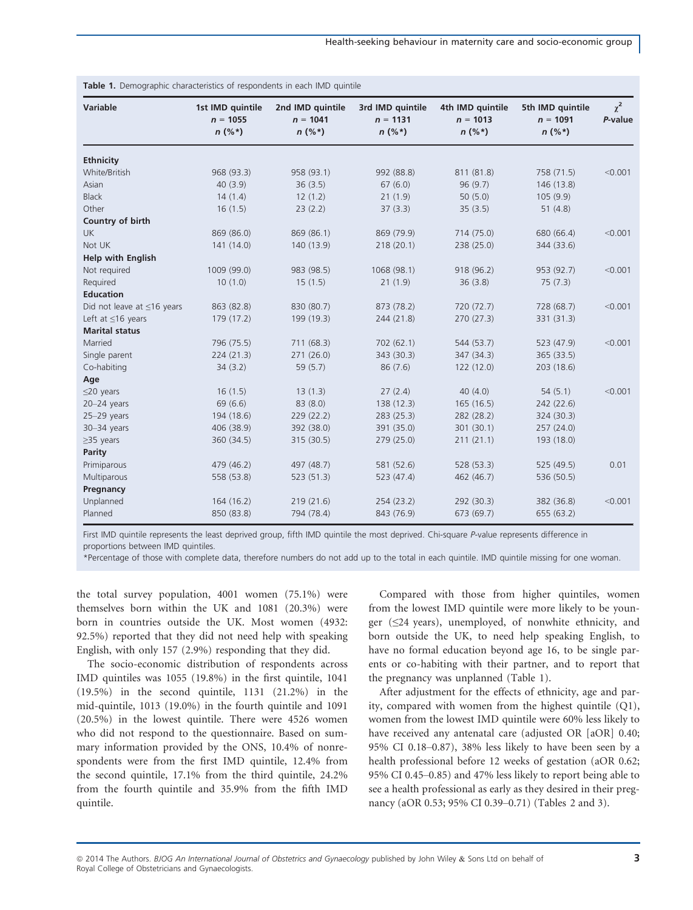|  |  | Table 1. Demographic characteristics of respondents in each IMD quintile |  |  |  |  |  |  |
|--|--|--------------------------------------------------------------------------|--|--|--|--|--|--|
|--|--|--------------------------------------------------------------------------|--|--|--|--|--|--|

| <b>Variable</b>                  | 1st IMD quintile<br>$n = 1055$<br>$n$ (%*) | 2nd IMD quintile<br>$n = 1041$<br>$n(%*)$ | 3rd IMD quintile<br>$n = 1131$<br>$n(%*)$ | 4th IMD quintile<br>$n = 1013$<br>$n$ (%*) | 5th IMD quintile<br>$n = 1091$<br>$n$ (%*) | $\chi^2$<br>P-value |  |
|----------------------------------|--------------------------------------------|-------------------------------------------|-------------------------------------------|--------------------------------------------|--------------------------------------------|---------------------|--|
| <b>Ethnicity</b>                 |                                            |                                           |                                           |                                            |                                            |                     |  |
| White/British                    | 968 (93.3)                                 | 958 (93.1)                                | 992 (88.8)                                | 811 (81.8)                                 | 758 (71.5)                                 | < 0.001             |  |
| Asian                            | 40(3.9)                                    | 36(3.5)                                   | 67(6.0)                                   | 96(9.7)                                    | 146 (13.8)                                 |                     |  |
| <b>Black</b>                     | 14(1.4)                                    | 12(1.2)                                   | 21(1.9)                                   | 50(5.0)                                    | 105(9.9)                                   |                     |  |
| Other                            | 16(1.5)                                    | 23(2.2)                                   | 37(3.3)                                   | 35(3.5)                                    | 51(4.8)                                    |                     |  |
| Country of birth                 |                                            |                                           |                                           |                                            |                                            |                     |  |
| <b>UK</b>                        | 869 (86.0)                                 | 869 (86.1)                                | 869 (79.9)                                | 714 (75.0)                                 | 680 (66.4)                                 | < 0.001             |  |
| Not UK                           | 141 (14.0)                                 | 140 (13.9)                                | 218(20.1)                                 | 238 (25.0)                                 | 344 (33.6)                                 |                     |  |
| <b>Help with English</b>         |                                            |                                           |                                           |                                            |                                            |                     |  |
| Not required                     | 1009 (99.0)                                | 983 (98.5)                                | 1068 (98.1)                               | 918 (96.2)                                 | 953 (92.7)                                 | < 0.001             |  |
| Required                         | 10(1.0)                                    | 15(1.5)                                   | 21(1.9)                                   | 36(3.8)                                    | 75(7.3)                                    |                     |  |
| <b>Education</b>                 |                                            |                                           |                                           |                                            |                                            |                     |  |
| Did not leave at $\leq$ 16 years | 863 (82.8)                                 | 830 (80.7)                                | 873 (78.2)                                | 720 (72.7)                                 | 728 (68.7)                                 | < 0.001             |  |
| Left at $\leq$ 16 years          | 179 (17.2)                                 | 199 (19.3)                                | 244 (21.8)                                | 270(27.3)                                  | 331 (31.3)                                 |                     |  |
| <b>Marital status</b>            |                                            |                                           |                                           |                                            |                                            |                     |  |
| Married                          | 796 (75.5)                                 | 711 (68.3)                                | 702 (62.1)                                | 544 (53.7)                                 | 523 (47.9)                                 | < 0.001             |  |
| Single parent                    | 224(21.3)                                  | 271 (26.0)                                | 343 (30.3)                                | 347 (34.3)                                 | 365 (33.5)                                 |                     |  |
| Co-habiting                      | 34(3.2)                                    | 59 (5.7)                                  | 86(7.6)                                   | 122 (12.0)                                 | 203 (18.6)                                 |                     |  |
| Age                              |                                            |                                           |                                           |                                            |                                            |                     |  |
| $\leq$ 20 years                  | 16(1.5)                                    | 13(1.3)                                   | 27(2.4)                                   | 40(4.0)                                    | 54(5.1)                                    | < 0.001             |  |
| $20 - 24$ years                  | 69 (6.6)                                   | 83 (8.0)                                  | 138 (12.3)                                | 165(16.5)                                  | 242 (22.6)                                 |                     |  |
| $25-29$ years                    | 194 (18.6)                                 | 229(22.2)                                 | 283 (25.3)                                | 282 (28.2)                                 | 324 (30.3)                                 |                     |  |
| $30-34$ years                    | 406 (38.9)                                 | 392 (38.0)                                | 391 (35.0)                                | 301 (30.1)                                 | 257 (24.0)                                 |                     |  |
| $\geq$ 35 years                  | 360 (34.5)                                 | 315 (30.5)                                | 279 (25.0)                                | 211(21.1)                                  | 193 (18.0)                                 |                     |  |
| Parity                           |                                            |                                           |                                           |                                            |                                            |                     |  |
| Primiparous                      | 479 (46.2)                                 | 497 (48.7)                                | 581 (52.6)                                | 528 (53.3)                                 | 525 (49.5)                                 | 0.01                |  |
| Multiparous                      | 558 (53.8)                                 | 523 (51.3)                                | 523 (47.4)                                | 462 (46.7)                                 | 536 (50.5)                                 |                     |  |
| Pregnancy                        |                                            |                                           |                                           |                                            |                                            |                     |  |
| Unplanned                        | 164(16.2)                                  | 219(21.6)                                 | 254 (23.2)                                | 292 (30.3)                                 | 382 (36.8)                                 | < 0.001             |  |
| Planned                          | 850 (83.8)                                 | 794 (78.4)                                | 843 (76.9)                                | 673 (69.7)                                 | 655 (63.2)                                 |                     |  |

First IMD quintile represents the least deprived group, fifth IMD quintile the most deprived. Chi-square P-value represents difference in proportions between IMD quintiles.

\*Percentage of those with complete data, therefore numbers do not add up to the total in each quintile. IMD quintile missing for one woman.

the total survey population, 4001 women (75.1%) were themselves born within the UK and 1081 (20.3%) were born in countries outside the UK. Most women (4932: 92.5%) reported that they did not need help with speaking English, with only 157 (2.9%) responding that they did.

The socio-economic distribution of respondents across IMD quintiles was 1055 (19.8%) in the first quintile, 1041 (19.5%) in the second quintile, 1131 (21.2%) in the mid-quintile, 1013 (19.0%) in the fourth quintile and 1091 (20.5%) in the lowest quintile. There were 4526 women who did not respond to the questionnaire. Based on summary information provided by the ONS, 10.4% of nonrespondents were from the first IMD quintile, 12.4% from the second quintile, 17.1% from the third quintile, 24.2% from the fourth quintile and 35.9% from the fifth IMD quintile.

Compared with those from higher quintiles, women from the lowest IMD quintile were more likely to be younger (≤24 years), unemployed, of nonwhite ethnicity, and born outside the UK, to need help speaking English, to have no formal education beyond age 16, to be single parents or co-habiting with their partner, and to report that the pregnancy was unplanned (Table 1).

After adjustment for the effects of ethnicity, age and parity, compared with women from the highest quintile (Q1), women from the lowest IMD quintile were 60% less likely to have received any antenatal care (adjusted OR [aOR] 0.40; 95% CI 0.18–0.87), 38% less likely to have been seen by a health professional before 12 weeks of gestation (aOR 0.62; 95% CI 0.45–0.85) and 47% less likely to report being able to see a health professional as early as they desired in their pregnancy (aOR 0.53; 95% CI 0.39–0.71) (Tables 2 and 3).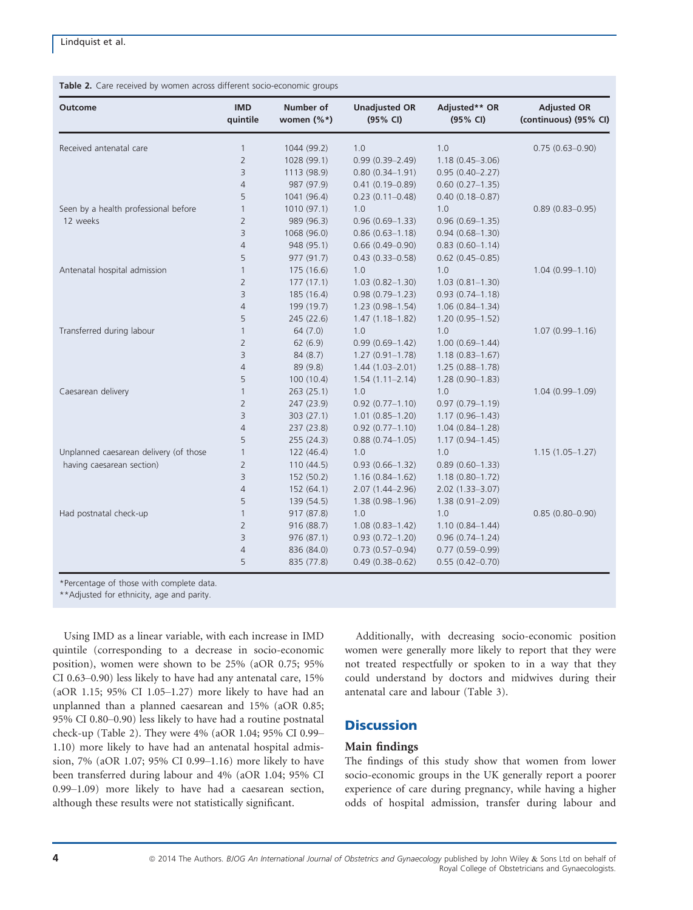#### Lindquist et al.

Table 2. Care received by women across different socio-economic groups

| <b>Outcome</b>                         | <b>IMD</b><br>quintile | Number of<br>women $(\%^*)$ | <b>Unadjusted OR</b><br>(95% CI) | Adjusted** OR<br>(95% CI) | <b>Adjusted OR</b><br>(continuous) (95% CI) |  |
|----------------------------------------|------------------------|-----------------------------|----------------------------------|---------------------------|---------------------------------------------|--|
| Received antenatal care                | $\mathbf{1}$           | 1044 (99.2)                 | 1.0                              | 1.0                       | $0.75(0.63 - 0.90)$                         |  |
|                                        | $\overline{2}$         | 1028 (99.1)                 | $0.99(0.39 - 2.49)$              | $1.18(0.45 - 3.06)$       |                                             |  |
|                                        | 3                      | 1113 (98.9)                 | $0.80(0.34 - 1.91)$              | $0.95(0.40 - 2.27)$       |                                             |  |
|                                        | $\overline{4}$         | 987 (97.9)                  | $0.41(0.19 - 0.89)$              | $0.60(0.27 - 1.35)$       |                                             |  |
|                                        | 5                      | 1041 (96.4)                 | $0.23(0.11 - 0.48)$              | $0.40(0.18 - 0.87)$       |                                             |  |
| Seen by a health professional before   | $\mathbf{1}$           | 1010 (97.1)                 | 1.0                              | 1.0                       | $0.89(0.83 - 0.95)$                         |  |
| 12 weeks                               | $\overline{2}$         | 989 (96.3)                  | $0.96(0.69 - 1.33)$              | $0.96(0.69 - 1.35)$       |                                             |  |
|                                        | 3                      | 1068 (96.0)                 | $0.86(0.63 - 1.18)$              | $0.94(0.68 - 1.30)$       |                                             |  |
|                                        | $\overline{4}$         | 948 (95.1)                  | $0.66(0.49 - 0.90)$              | $0.83(0.60 - 1.14)$       |                                             |  |
|                                        | 5                      | 977 (91.7)                  | $0.43(0.33 - 0.58)$              | $0.62$ (0.45-0.85)        |                                             |  |
| Antenatal hospital admission           | 1                      | 175 (16.6)                  | 1.0                              | 1.0                       | $1.04(0.99 - 1.10)$                         |  |
|                                        | $\overline{2}$         | 177(17.1)                   | $1.03(0.82 - 1.30)$              | $1.03(0.81 - 1.30)$       |                                             |  |
|                                        | 3                      | 185 (16.4)                  | $0.98(0.79 - 1.23)$              | $0.93(0.74 - 1.18)$       |                                             |  |
|                                        | $\overline{4}$         | 199 (19.7)                  | $1.23(0.98 - 1.54)$              | $1.06(0.84 - 1.34)$       |                                             |  |
|                                        | 5                      | 245(22.6)                   | $1.47(1.18-1.82)$                | $1.20(0.95 - 1.52)$       |                                             |  |
| Transferred during labour              | $\mathbf{1}$           | 64 (7.0)                    | 1.0                              | 1.0                       | $1.07(0.99 - 1.16)$                         |  |
|                                        | $\overline{2}$         | 62(6.9)                     | $0.99(0.69 - 1.42)$              | $1.00(0.69 - 1.44)$       |                                             |  |
|                                        | 3                      | 84(8.7)                     | $1.27(0.91 - 1.78)$              | $1.18(0.83 - 1.67)$       |                                             |  |
|                                        | $\overline{4}$         | 89 (9.8)                    | $1.44(1.03 - 2.01)$              | $1.25(0.88 - 1.78)$       |                                             |  |
|                                        | 5                      | 100(10.4)                   | $1.54(1.11 - 2.14)$              | $1.28(0.90 - 1.83)$       |                                             |  |
| Caesarean delivery                     | $\mathbf{1}$           | 263(25.1)                   | 1.0                              | 1.0                       | $1.04(0.99 - 1.09)$                         |  |
|                                        | $\overline{2}$         | 247 (23.9)                  | $0.92(0.77 - 1.10)$              | $0.97(0.79 - 1.19)$       |                                             |  |
|                                        | 3                      | 303(27.1)                   | $1.01(0.85 - 1.20)$              | $1.17(0.96 - 1.43)$       |                                             |  |
|                                        | $\overline{4}$         | 237 (23.8)                  | $0.92(0.77 - 1.10)$              | $1.04(0.84 - 1.28)$       |                                             |  |
|                                        | 5                      | 255(24.3)                   | $0.88(0.74 - 1.05)$              | $1.17(0.94 - 1.45)$       |                                             |  |
| Unplanned caesarean delivery (of those | $\mathbf{1}$           | 122 (46.4)                  | 1.0                              | 1.0                       | $1.15(1.05 - 1.27)$                         |  |
| having caesarean section)              | $\overline{2}$         | 110(44.5)                   | $0.93(0.66 - 1.32)$              | $0.89(0.60 - 1.33)$       |                                             |  |
|                                        | 3                      | 152 (50.2)                  | $1.16(0.84 - 1.62)$              | $1.18(0.80 - 1.72)$       |                                             |  |
|                                        | $\overline{4}$         | 152(64.1)                   | $2.07(1.44 - 2.96)$              | $2.02(1.33 - 3.07)$       |                                             |  |
|                                        | 5                      | 139 (54.5)                  | $1.38(0.98 - 1.96)$              | $1.38(0.91 - 2.09)$       |                                             |  |
| Had postnatal check-up                 | $\mathbf{1}$           | 917 (87.8)                  | 1.0                              | 1.0                       | $0.85(0.80 - 0.90)$                         |  |
|                                        | $\overline{2}$         | 916 (88.7)                  | $1.08(0.83 - 1.42)$              | $1.10(0.84 - 1.44)$       |                                             |  |
|                                        | 3                      | 976 (87.1)                  | $0.93(0.72 - 1.20)$              | $0.96(0.74 - 1.24)$       |                                             |  |
|                                        | 4                      | 836 (84.0)                  | $0.73(0.57 - 0.94)$              | $0.77(0.59 - 0.99)$       |                                             |  |
|                                        | 5                      | 835 (77.8)                  | $0.49(0.38 - 0.62)$              | $0.55(0.42 - 0.70)$       |                                             |  |

\*Percentage of those with complete data.

\*\*Adjusted for ethnicity, age and parity.

Using IMD as a linear variable, with each increase in IMD quintile (corresponding to a decrease in socio-economic position), women were shown to be 25% (aOR 0.75; 95% CI 0.63–0.90) less likely to have had any antenatal care, 15% (aOR 1.15; 95% CI 1.05–1.27) more likely to have had an unplanned than a planned caesarean and 15% (aOR 0.85; 95% CI 0.80–0.90) less likely to have had a routine postnatal check-up (Table 2). They were 4% (aOR 1.04; 95% CI 0.99– 1.10) more likely to have had an antenatal hospital admission, 7% (aOR 1.07; 95% CI 0.99–1.16) more likely to have been transferred during labour and 4% (aOR 1.04; 95% CI 0.99–1.09) more likely to have had a caesarean section, although these results were not statistically significant.

Additionally, with decreasing socio-economic position women were generally more likely to report that they were not treated respectfully or spoken to in a way that they could understand by doctors and midwives during their antenatal care and labour (Table 3).

#### **Discussion**

#### Main findings

The findings of this study show that women from lower socio-economic groups in the UK generally report a poorer experience of care during pregnancy, while having a higher odds of hospital admission, transfer during labour and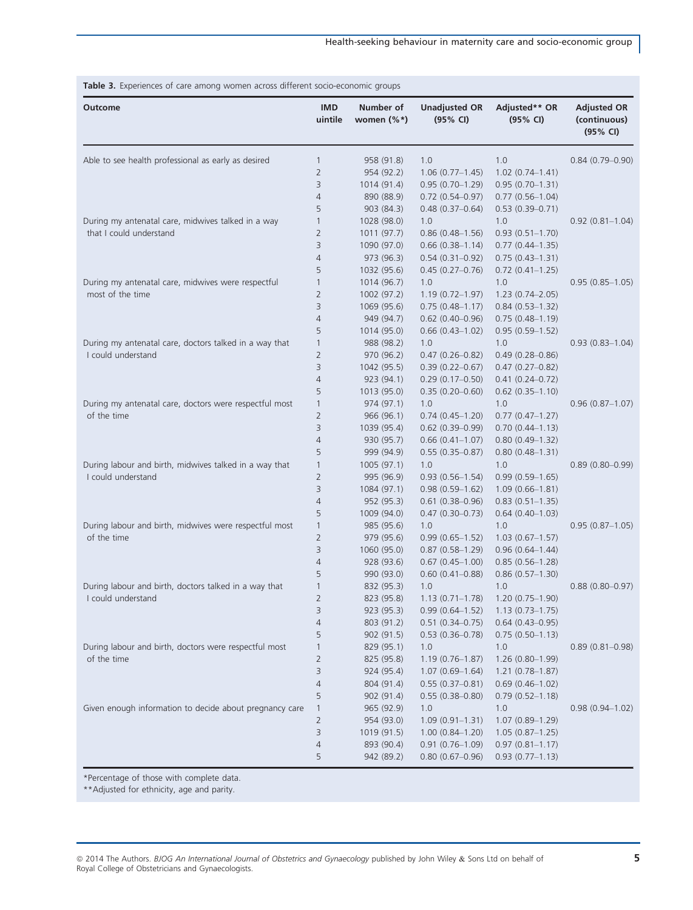Table 3. Experiences of care among women across different socio-economic groups

| Outcome                                                 | <b>IMD</b><br>uintile | Number of<br>women $(\%^*)$ | <b>Unadjusted OR</b><br>(95% CI)       | Adjusted** OR<br>(95% CI)                  | <b>Adjusted OR</b><br>(continuous)<br>(95% CI) |
|---------------------------------------------------------|-----------------------|-----------------------------|----------------------------------------|--------------------------------------------|------------------------------------------------|
| Able to see health professional as early as desired     |                       | 958 (91.8)                  | 1.0                                    | 1.0                                        | $0.84(0.79 - 0.90)$                            |
|                                                         | $\overline{2}$        | 954 (92.2)                  | $1.06(0.77-1.45)$                      | $1.02(0.74 - 1.41)$                        |                                                |
|                                                         | 3                     | 1014(91.4)                  | $0.95(0.70 - 1.29)$                    | $0.95(0.70-1.31)$                          |                                                |
|                                                         | 4                     | 890 (88.9)                  | $0.72$ (0.54-0.97)                     | $0.77(0.56 - 1.04)$                        |                                                |
|                                                         | 5                     | 903 (84.3)                  | $0.48(0.37 - 0.64)$                    | $0.53(0.39 - 0.71)$                        |                                                |
| During my antenatal care, midwives talked in a way      | $\mathbf{1}$          | 1028 (98.0)                 | 1.0                                    | 1.0                                        | $0.92(0.81 - 1.04)$                            |
| that I could understand                                 | $\overline{2}$        | 1011 (97.7)                 | $0.86$ (0.48-1.56)                     | $0.93(0.51 - 1.70)$                        |                                                |
|                                                         | 3                     | 1090 (97.0)                 | $0.66$ $(0.38-1.14)$                   | $0.77(0.44 - 1.35)$                        |                                                |
|                                                         | $\overline{4}$        | 973 (96.3)                  | $0.54(0.31-0.92)$                      | $0.75(0.43 - 1.31)$                        |                                                |
|                                                         | 5                     | 1032 (95.6)                 | $0.45(0.27-0.76)$                      | $0.72(0.41 - 1.25)$                        |                                                |
| During my antenatal care, midwives were respectful      | $\mathbf{1}$          | 1014 (96.7)                 | 1.0                                    | 1.0                                        | $0.95(0.85-1.05)$                              |
| most of the time                                        | $\overline{2}$        | 1002 (97.2)                 | $1.19(0.72 - 1.97)$                    | $1.23(0.74 - 2.05)$                        |                                                |
|                                                         | 3                     | 1069 (95.6)                 | $0.75(0.48 - 1.17)$                    | $0.84(0.53 - 1.32)$                        |                                                |
|                                                         | $\overline{4}$        | 949 (94.7)                  | $0.62$ (0.40-0.96)                     | $0.75(0.48-1.19)$                          |                                                |
|                                                         | 5                     | 1014 (95.0)                 | $0.66$ $(0.43-1.02)$                   | $0.95(0.59-1.52)$                          |                                                |
| During my antenatal care, doctors talked in a way that  | $\mathbf{1}$          | 988 (98.2)                  | 1.0                                    | 1.0                                        | $0.93(0.83 - 1.04)$                            |
| I could understand                                      | $\overline{2}$        | 970 (96.2)                  | $0.47(0.26 - 0.82)$                    | $0.49(0.28 - 0.86)$                        |                                                |
|                                                         | 3                     | 1042 (95.5)                 | $0.39(0.22 - 0.67)$                    | $0.47(0.27 - 0.82)$                        |                                                |
|                                                         | 4                     | 923 (94.1)                  | $0.29(0.17-0.50)$                      | $0.41(0.24 - 0.72)$                        |                                                |
|                                                         | 5                     | 1013(95.0)                  | $0.35(0.20-0.60)$                      | $0.62$ $(0.35-1.10)$                       |                                                |
| During my antenatal care, doctors were respectful most  | $\mathbf{1}$          | 974 (97.1)                  | 1.0                                    | 1.0                                        | $0.96(0.87 - 1.07)$                            |
| of the time                                             | $\overline{2}$        | 966(96.1)                   | $0.74(0.45 - 1.20)$                    | $0.77(0.47-1.27)$                          |                                                |
|                                                         | 3                     | 1039 (95.4)                 | $0.62$ $(0.39 - 0.99)$                 | $0.70(0.44 - 1.13)$                        |                                                |
|                                                         | $\overline{4}$        | 930 (95.7)                  | $0.66$ $(0.41-1.07)$                   | $0.80(0.49-1.32)$                          |                                                |
|                                                         | 5                     | 999 (94.9)                  | $0.55(0.35 - 0.87)$                    | $0.80(0.48 - 1.31)$                        |                                                |
| During labour and birth, midwives talked in a way that  | $\mathbf{1}$          | 1005(97.1)                  | 1.0                                    | 1.0                                        | $0.89(0.80 - 0.99)$                            |
| I could understand                                      | $\overline{2}$        | 995 (96.9)                  | $0.93(0.56 - 1.54)$                    | $0.99(0.59 - 1.65)$                        |                                                |
|                                                         | 3                     | 1084 (97.1)                 | $0.98(0.59 - 1.62)$                    | $1.09(0.66 - 1.81)$                        |                                                |
|                                                         | $\overline{4}$        | 952 (95.3)                  | $0.61(0.38 - 0.96)$                    | $0.83(0.51 - 1.35)$                        |                                                |
|                                                         | 5                     | 1009 (94.0)                 | $0.47(0.30-0.73)$                      | $0.64(0.40-1.03)$                          |                                                |
| During labour and birth, midwives were respectful most  | $\mathbf{1}$          | 985 (95.6)                  | 1.0                                    | 1.0                                        | $0.95(0.87 - 1.05)$                            |
| of the time                                             | $\overline{2}$        | 979 (95.6)                  | $0.99(0.65 - 1.52)$                    | $1.03(0.67-1.57)$                          |                                                |
|                                                         | 3                     | 1060 (95.0)                 | $0.87(0.58 - 1.29)$                    | $0.96(0.64-1.44)$                          |                                                |
|                                                         | 4                     | 928 (93.6)                  | $0.67(0.45-1.00)$                      | $0.85(0.56 - 1.28)$                        |                                                |
|                                                         | 5                     | 990 (93.0)                  | $0.60(0.41-0.88)$                      | $0.86(0.57-1.30)$                          |                                                |
| During labour and birth, doctors talked in a way that   | $\mathbf{1}$          | 832 (95.3)                  | 1.0                                    | 1.0                                        | $0.88(0.80 - 0.97)$                            |
| I could understand                                      | $\overline{2}$        | 823 (95.8)                  | $1.13(0.71 - 1.78)$                    | $1.20(0.75 - 1.90)$                        |                                                |
|                                                         | 3                     | 923 (95.3)                  | $0.99(0.64 - 1.52)$                    | $1.13(0.73 - 1.75)$                        |                                                |
|                                                         | 4                     | 803 (91.2)                  | $0.51(0.34 - 0.75)$                    | $0.64(0.43 - 0.95)$                        |                                                |
| During labour and birth, doctors were respectful most   | 5                     | 902 (91.5)                  | $0.53(0.36 - 0.78)$<br>1.0             | $0.75(0.50-1.13)$<br>1.0                   |                                                |
| of the time                                             | 1                     | 829 (95.1)                  | $1.19(0.76 - 1.87)$                    |                                            | $0.89(0.81 - 0.98)$                            |
|                                                         | 2<br>3                | 825 (95.8)                  |                                        | $1.26(0.80-1.99)$                          |                                                |
|                                                         | $\overline{4}$        | 924 (95.4)                  | $1.07(0.69-1.64)$<br>$0.55(0.37-0.81)$ | $1.21(0.78 - 1.87)$<br>$0.69(0.46 - 1.02)$ |                                                |
|                                                         | 5                     | 804 (91.4)                  |                                        |                                            |                                                |
| Given enough information to decide about pregnancy care | $\mathbf{1}$          | 902 (91.4)<br>965 (92.9)    | $0.55(0.38 - 0.80)$<br>1.0             | $0.79(0.52 - 1.18)$<br>1.0                 | $0.98(0.94 - 1.02)$                            |
|                                                         | $\overline{2}$        | 954 (93.0)                  | $1.09(0.91 - 1.31)$                    | $1.07(0.89 - 1.29)$                        |                                                |
|                                                         | 3                     | 1019(91.5)                  | $1.00(0.84 - 1.20)$                    | $1.05(0.87-1.25)$                          |                                                |
|                                                         | $\overline{4}$        | 893 (90.4)                  | $0.91(0.76 - 1.09)$                    | $0.97(0.81 - 1.17)$                        |                                                |
|                                                         |                       |                             |                                        |                                            |                                                |

\*Percentage of those with complete data.

\*\*Adjusted for ethnicity, age and parity.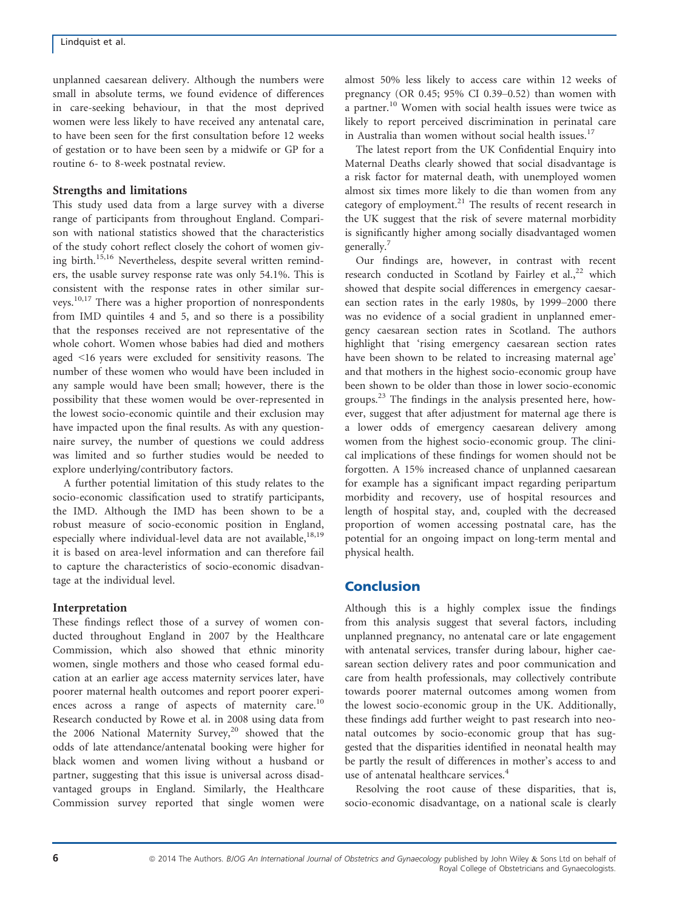#### Lindquist et al.

unplanned caesarean delivery. Although the numbers were small in absolute terms, we found evidence of differences in care-seeking behaviour, in that the most deprived women were less likely to have received any antenatal care, to have been seen for the first consultation before 12 weeks of gestation or to have been seen by a midwife or GP for a routine 6- to 8-week postnatal review.

## Strengths and limitations

This study used data from a large survey with a diverse range of participants from throughout England. Comparison with national statistics showed that the characteristics of the study cohort reflect closely the cohort of women giving birth.15,16 Nevertheless, despite several written reminders, the usable survey response rate was only 54.1%. This is consistent with the response rates in other similar surveys.<sup>10,17</sup> There was a higher proportion of nonrespondents from IMD quintiles 4 and 5, and so there is a possibility that the responses received are not representative of the whole cohort. Women whose babies had died and mothers aged <16 years were excluded for sensitivity reasons. The number of these women who would have been included in any sample would have been small; however, there is the possibility that these women would be over-represented in the lowest socio-economic quintile and their exclusion may have impacted upon the final results. As with any questionnaire survey, the number of questions we could address was limited and so further studies would be needed to explore underlying/contributory factors.

A further potential limitation of this study relates to the socio-economic classification used to stratify participants, the IMD. Although the IMD has been shown to be a robust measure of socio-economic position in England, especially where individual-level data are not available, $18,19$ it is based on area-level information and can therefore fail to capture the characteristics of socio-economic disadvantage at the individual level.

## Interpretation

These findings reflect those of a survey of women conducted throughout England in 2007 by the Healthcare Commission, which also showed that ethnic minority women, single mothers and those who ceased formal education at an earlier age access maternity services later, have poorer maternal health outcomes and report poorer experiences across a range of aspects of maternity care.<sup>10</sup> Research conducted by Rowe et al. in 2008 using data from the 2006 National Maternity Survey,<sup>20</sup> showed that the odds of late attendance/antenatal booking were higher for black women and women living without a husband or partner, suggesting that this issue is universal across disadvantaged groups in England. Similarly, the Healthcare Commission survey reported that single women were

almost 50% less likely to access care within 12 weeks of pregnancy (OR 0.45; 95% CI 0.39–0.52) than women with a partner.<sup>10</sup> Women with social health issues were twice as likely to report perceived discrimination in perinatal care in Australia than women without social health issues.<sup>17</sup>

The latest report from the UK Confidential Enquiry into Maternal Deaths clearly showed that social disadvantage is a risk factor for maternal death, with unemployed women almost six times more likely to die than women from any category of employment. $^{21}$  The results of recent research in the UK suggest that the risk of severe maternal morbidity is significantly higher among socially disadvantaged women generally.<sup>7</sup>

Our findings are, however, in contrast with recent research conducted in Scotland by Fairley et al.,  $22$  which showed that despite social differences in emergency caesarean section rates in the early 1980s, by 1999–2000 there was no evidence of a social gradient in unplanned emergency caesarean section rates in Scotland. The authors highlight that 'rising emergency caesarean section rates have been shown to be related to increasing maternal age' and that mothers in the highest socio-economic group have been shown to be older than those in lower socio-economic groups.23 The findings in the analysis presented here, however, suggest that after adjustment for maternal age there is a lower odds of emergency caesarean delivery among women from the highest socio-economic group. The clinical implications of these findings for women should not be forgotten. A 15% increased chance of unplanned caesarean for example has a significant impact regarding peripartum morbidity and recovery, use of hospital resources and length of hospital stay, and, coupled with the decreased proportion of women accessing postnatal care, has the potential for an ongoing impact on long-term mental and physical health.

# Conclusion

Although this is a highly complex issue the findings from this analysis suggest that several factors, including unplanned pregnancy, no antenatal care or late engagement with antenatal services, transfer during labour, higher caesarean section delivery rates and poor communication and care from health professionals, may collectively contribute towards poorer maternal outcomes among women from the lowest socio-economic group in the UK. Additionally, these findings add further weight to past research into neonatal outcomes by socio-economic group that has suggested that the disparities identified in neonatal health may be partly the result of differences in mother's access to and use of antenatal healthcare services.<sup>4</sup>

Resolving the root cause of these disparities, that is, socio-economic disadvantage, on a national scale is clearly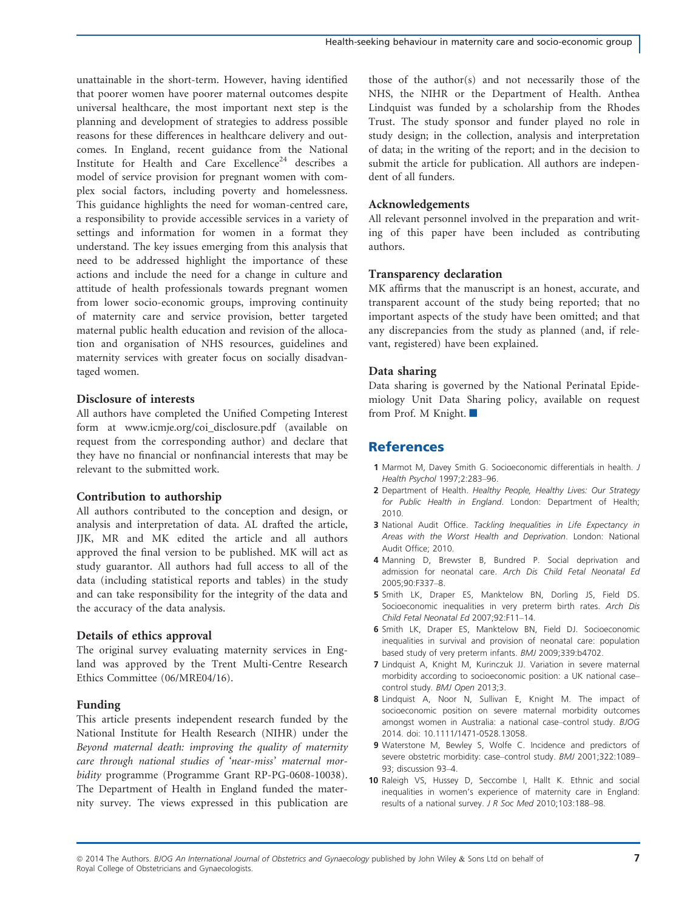unattainable in the short-term. However, having identified that poorer women have poorer maternal outcomes despite universal healthcare, the most important next step is the planning and development of strategies to address possible reasons for these differences in healthcare delivery and outcomes. In England, recent guidance from the National Institute for Health and Care Excellence<sup>24</sup> describes a model of service provision for pregnant women with complex social factors, including poverty and homelessness. This guidance highlights the need for woman-centred care, a responsibility to provide accessible services in a variety of settings and information for women in a format they understand. The key issues emerging from this analysis that need to be addressed highlight the importance of these actions and include the need for a change in culture and attitude of health professionals towards pregnant women from lower socio-economic groups, improving continuity of maternity care and service provision, better targeted maternal public health education and revision of the allocation and organisation of NHS resources, guidelines and maternity services with greater focus on socially disadvantaged women.

#### Disclosure of interests

All authors have completed the Unified Competing Interest form at [www.icmje.org/coi\\_disclosure.pdf](http://www.icmje.org/coi_disclosure.pdf) (available on request from the corresponding author) and declare that they have no financial or nonfinancial interests that may be relevant to the submitted work.

#### Contribution to authorship

All authors contributed to the conception and design, or analysis and interpretation of data. AL drafted the article, JJK, MR and MK edited the article and all authors approved the final version to be published. MK will act as study guarantor. All authors had full access to all of the data (including statistical reports and tables) in the study and can take responsibility for the integrity of the data and the accuracy of the data analysis.

#### Details of ethics approval

The original survey evaluating maternity services in England was approved by the Trent Multi-Centre Research Ethics Committee (06/MRE04/16).

## Funding

This article presents independent research funded by the National Institute for Health Research (NIHR) under the Beyond maternal death: improving the quality of maternity care through national studies of 'near-miss' maternal morbidity programme (Programme Grant RP-PG-0608-10038). The Department of Health in England funded the maternity survey. The views expressed in this publication are

those of the author(s) and not necessarily those of the NHS, the NIHR or the Department of Health. Anthea Lindquist was funded by a scholarship from the Rhodes Trust. The study sponsor and funder played no role in study design; in the collection, analysis and interpretation of data; in the writing of the report; and in the decision to submit the article for publication. All authors are independent of all funders.

## Acknowledgements

All relevant personnel involved in the preparation and writing of this paper have been included as contributing authors.

## Transparency declaration

MK affirms that the manuscript is an honest, accurate, and transparent account of the study being reported; that no important aspects of the study have been omitted; and that any discrepancies from the study as planned (and, if relevant, registered) have been explained.

#### Data sharing

Data sharing is governed by the National Perinatal Epidemiology Unit Data Sharing policy, available on request from Prof. M Knight.

## **References**

- 1 Marmot M, Davey Smith G. Socioeconomic differentials in health. J Health Psychol 1997;2:283–96.
- 2 Department of Health. Healthy People, Healthy Lives: Our Strategy for Public Health in England. London: Department of Health; 2010.
- 3 National Audit Office. Tackling Inequalities in Life Expectancy in Areas with the Worst Health and Deprivation. London: National Audit Office; 2010.
- 4 Manning D, Brewster B, Bundred P. Social deprivation and admission for neonatal care. Arch Dis Child Fetal Neonatal Ed 2005;90:F337–8.
- 5 Smith LK, Draper ES, Manktelow BN, Dorling JS, Field DS. Socioeconomic inequalities in very preterm birth rates. Arch Dis Child Fetal Neonatal Ed 2007;92:F11–14.
- 6 Smith LK, Draper ES, Manktelow BN, Field DJ. Socioeconomic inequalities in survival and provision of neonatal care: population based study of very preterm infants. BMJ 2009;339:b4702.
- 7 Lindquist A, Knight M, Kurinczuk JJ. Variation in severe maternal morbidity according to socioeconomic position: a UK national case– control study. BMJ Open 2013;3.
- 8 Lindquist A, Noor N, Sullivan E, Knight M. The impact of socioeconomic position on severe maternal morbidity outcomes amongst women in Australia: a national case–control study. BJOG 2014. doi: 10.1111/1471-0528.13058.
- 9 Waterstone M, Bewley S, Wolfe C. Incidence and predictors of severe obstetric morbidity: case–control study. BMJ 2001;322:1089– 93; discussion 93–4.
- 10 Raleigh VS, Hussey D, Seccombe I, Hallt K. Ethnic and social inequalities in women's experience of maternity care in England: results of a national survey. J R Soc Med 2010;103:188–98.